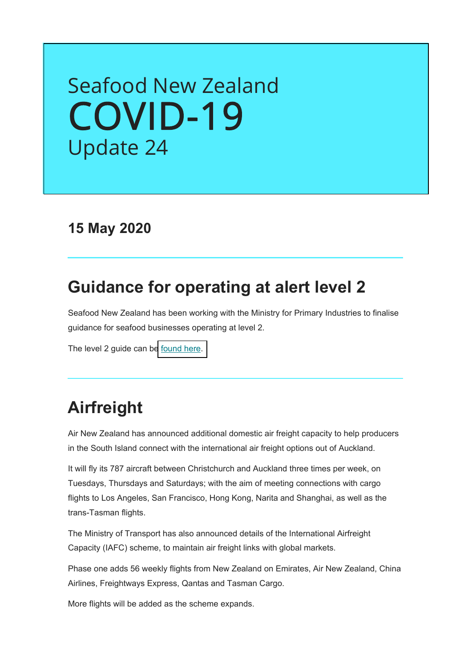# Seafood New Zealand [COVID-19](https://www.seafood.co.nz/covid-19-information/where-to-buy-seafood/) Update 24

### **15 May 2020**

### **Guidance for operating at alert level 2**

Seafood New Zealand has been working with the Ministry for Primary Industries to finalise guidance for seafood businesses operating at level 2.

The level 2 guide can b[e found here.](https://seafoodnewzealand.us3.list-manage.com/track/click?u=a7738655da0db815946d65dab&id=46e432d35d&e=c82a6ca889)

### **Airfreight**

Air New Zealand has announced additional domestic air freight capacity to help producers in the South Island connect with the international air freight options out of Auckland.

It will fly its 787 aircraft between Christchurch and Auckland three times per week, on Tuesdays, Thursdays and Saturdays; with the aim of meeting connections with cargo flights to Los Angeles, San Francisco, Hong Kong, Narita and Shanghai, as well as the trans-Tasman flights.

The Ministry of Transport has also announced details of the International Airfreight Capacity (IAFC) scheme, to maintain air freight links with global markets.

Phase one adds 56 weekly flights from New Zealand on Emirates, Air New Zealand, China Airlines, Freightways Express, Qantas and Tasman Cargo.

More flights will be added as the scheme expands.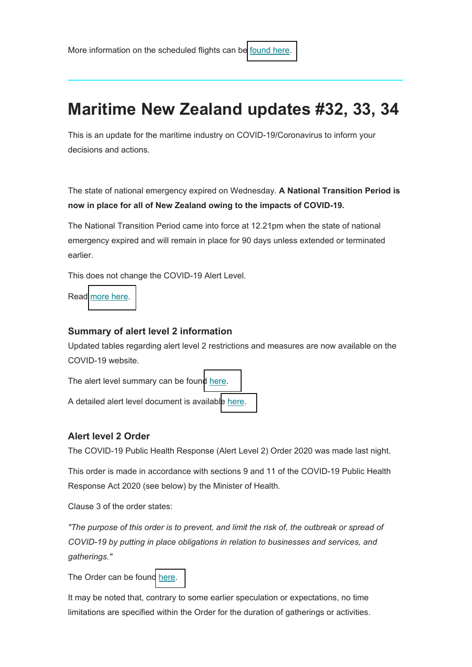### **Maritime New Zealand updates #32, 33, 34**

This is an update for the maritime industry on COVID-19/Coronavirus to inform your decisions and actions.

The state of national emergency expired on Wednesday. **A National Transition Period is now in place for all of New Zealand owing to the impacts of COVID-19.** 

The National Transition Period came into force at 12.21pm when the state of national emergency expired and will remain in place for 90 days unless extended or terminated earlier.

This does not change the COVID-19 Alert Level.

Read [more here.](https://www.beehive.govt.nz/release/new-zealand-moves-out-state-national-emergency)

#### **Summary of alert level 2 information**

Updated tables regarding alert level 2 restrictions and measures are now available on the COVID-19 website.

The alert level summary can be foun[d here.](https://covid19.govt.nz/assets/resources/tables/COVID-19-alert-levels-summary.pdf)

A detailed alert level document is availabl[e here.](https://covid19.govt.nz/assets/resources/tables/COVID-19-alert-levels-summary.pdf) 

#### **Alert level 2 Order**

The COVID-19 Public Health Response (Alert Level 2) Order 2020 was made last night.

This order is made in accordance with sections 9 and 11 of the COVID-19 Public Health Response Act 2020 (see below) by the Minister of Health.

Clause 3 of the order states:

*"The purpose of this order is to prevent, and limit the risk of, the outbreak or spread of COVID-19 by putting in place obligations in relation to businesses and services, and gatherings."*

The Order can be foun[d here.](http://legislation.govt.nz/regulation/public/2020/0084/latest/LMS345307.html)

It may be noted that, contrary to some earlier speculation or expectations, no time limitations are specified within the Order for the duration of gatherings or activities.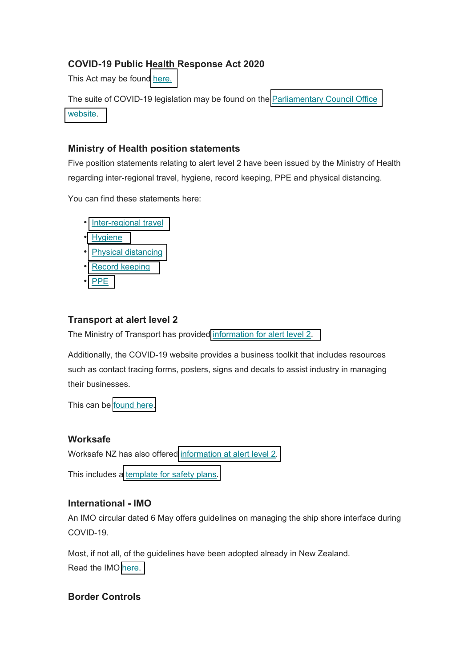#### **COVID-19 Public Health Response Act 2020**

This Act may be foun[d here.](http://legislation.govt.nz/act/public/2020/0012/latest/LMS344134.html)

The suite of COVID-19 legislation may be found on the **Parliamentary Council Office** [website.](http://www.pco.govt.nz/covid-19-legislation/)

#### **Ministry of Health position statements**

Five position statements relating to alert level 2 have been issued by the Ministry of Health regarding inter-regional travel, hygiene, record keeping, PPE and physical distancing.

You can find these statements here:

- [Inter-regional travel](https://www.dropbox.com/s/2a52rzoev31ro2z/MoH%20-%20Position%20statement%20-%20Inter-regional%20travel.docx?dl=0)
- [Hygiene](https://www.dropbox.com/s/w9pehtqd489gub0/MoH%20-%20Position%20statement%20-%20Hygiene.docx?dl=0)
- [Physical distancing](https://www.dropbox.com/s/8sc8hkuq67aos3m/MoH%20-%20Position%20statement%20-%20Physical%20Distancing.docx?dl=0)
- [Record keeping](https://www.dropbox.com/s/r6vthypva5l4kl4/MoH%20-%20Position%20statement%20-%20Record%20keeping.docx?dl=0)
- [PPE](https://www.dropbox.com/s/38v9ubfxfafhp03/MoH%20-%20Position%20statement%20-%20PPE.docx?dl=0)

#### **Transport at alert level 2**

The Ministry of Transport has provided [information for alert level 2.](https://www.transport.govt.nz/about/covid-19/#alert2)

Additionally, the COVID-19 website provides a business toolkit that includes resources such as contact tracing forms, posters, signs and decals to assist industry in managing their businesses.

This can be [found here.](https://covid19.govt.nz/businesses-and-employees/business-toolkit/)

#### **Worksafe**

Worksafe NZ has also offered [information at alert level 2.](https://worksafe.govt.nz/managing-health-and-safety/novel-coronavirus-covid/operating-safely-at-alert-level-2-what-you-need-to-think-about/)

This includes [a template for safety plans.](https://seafoodnewzealand.us3.list-manage.com/track/click?u=a7738655da0db815946d65dab&id=3f68c0f9c6&e=c82a6ca889)

#### **International - IMO**

An IMO circular dated 6 May offers guidelines on managing the ship shore interface during COVID-19.

Most, if not all, of the guidelines have been adopted already in New Zealand. Read the IMO [here.](https://www.dropbox.com/s/sj4kyitgqhyidfd/IMO%20circular%20letter%20No.4204-Add.16%20-%20Covid-19%20Related%20Guidelines%20For%20Ensuring%20A%20Safe%20Shipboard%20Interfa...%20%28Secretariat%29.pdf?dl=0)

#### **Border Controls**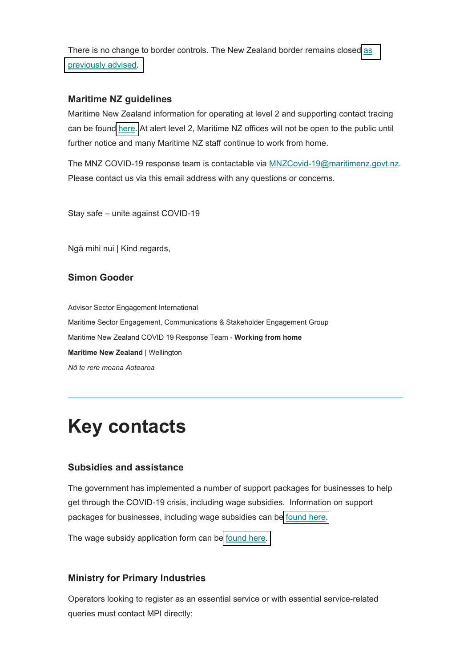There is no change to border controls. The New Zealand border remains closed [as](https://www.health.govt.nz/our-work/diseases-and-conditions/covid-19-novel-coronavirus/covid-19-current-situation/covid-19-border-controls)  [previously advised.](https://www.health.govt.nz/our-work/diseases-and-conditions/covid-19-novel-coronavirus/covid-19-current-situation/covid-19-border-controls)

#### **Maritime NZ guidelines**

Maritime New Zealand information for operating at level 2 and supporting contact tracing can be found [here.](https://www.maritimenz.govt.nz/commercial/) At alert level 2, Maritime NZ offices will not be open to the public until further notice and many Maritime NZ staff continue to work from home.

The MNZ COVID-19 response team is contactable via MNZCovid-19@maritimenz.govt.nz. Please contact us via this email address with any questions or concerns.

Stay safe – unite against COVID-19

Ngā mihi nui | Kind regards,

#### **Simon Gooder**

Advisor Sector Engagement International Maritime Sector Engagement, Communications & Stakeholder Engagement Group Maritime New Zealand COVID 19 Response Team - **Working from home Maritime New Zealand** | Wellington *Nō te rere moana Aotearoa*

## **Key contacts**

#### **Subsidies and assistance**

The government has implemented a number of support packages for businesses to help get through the COVID-19 crisis, including wage subsidies. Information on support packages for businesses, including wage subsidies can be [found here.](https://workandincome.govt.nz/covid-19/index.html)

The wage subsidy application form can be [found here.](https://services.workandincome.govt.nz/ess/trader_applications/new)

#### **Ministry for Primary Industries**

Operators looking to register as an essential service or with essential service-related queries must contact MPI directly: